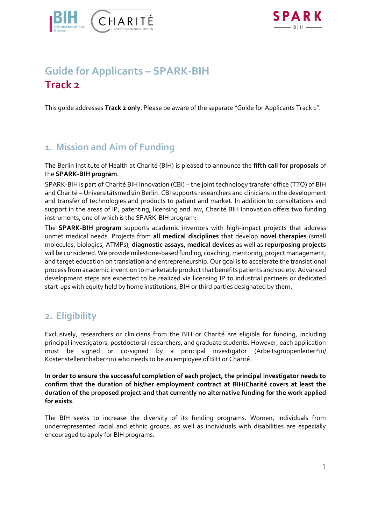



# **Guide for Applicants – SPARK-BIH Track 2**

This guide addresses **Track 2 only**. Please be aware of the separate "Guide for Applicants Track 1".

### **1. Mission and Aim of Funding**

The Berlin Institute of Health at Charité (BIH) is pleased to announce the **fifth call for proposals** of the **SPARK-BIH program**.

SPARK-BIH is part of Charité BIH Innovation (CBI) – the joint technology transfer office (TTO) of BIH and Charité – Universitätsmedizin Berlin. CBI supports researchers and clinicians in the development and transfer of technologies and products to patient and market. In addition to consultations and support in the areas of IP, patenting, licensing and law, Charité BIH Innovation offers two funding instruments, one of which is the SPARK-BIH program:

The **SPARK-BIH program** supports academic inventors with high-impact projects that address unmet medical needs. Projects from **all medical disciplines** that develop **novel therapies** (small molecules, biologics, ATMPs), **diagnostic assays**, **medical devices** as well as **repurposing projects** will be considered. We provide milestone-based funding, coaching, mentoring, project management, and target education on translation and entrepreneurship. Our goal is to accelerate the translational process from academic invention to marketable product that benefits patients and society. Advanced development steps are expected to be realized via licensing IP to industrial partners or dedicated start-ups with equity held by home institutions, BIH or third parties designated by them.

### **2. Eligibility**

Exclusively, researchers or clinicians from the BIH or Charité are eligible for funding, including principal investigators, postdoctoral researchers, and graduate students. However, each application must be signed or co-signed by a principal investigator (Arbeitsgruppenleiter\*in/ Kostenstelleninhaber\*in) who needs to be an employee of BIH or Charité.

**In order to ensure the successful completion of each project, the principal investigator needs to confirm that the duration of his/her employment contract at BIH/Charité covers at least the duration of the proposed project and that currently no alternative funding for the work applied for exists**.

The BIH seeks to increase the diversity of its funding programs. Women, individuals from underrepresented racial and ethnic groups, as well as individuals with disabilities are especially encouraged to apply for BIH programs.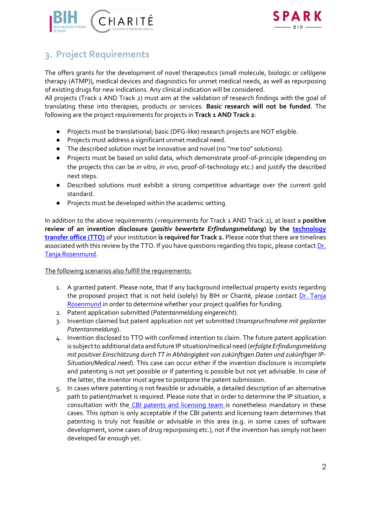

# **3. Project Requirements**

The offers grants for the development of novel therapeutics (small molecule, biologic or cell/gene therapy (ATMP)), medical devices and diagnostics for unmet medical needs, as well as repurposing of existing drugs for new indications. Any clinical indication will be considered.

All projects (Track 1 AND Track 2) must aim at the validation of research findings with the goal of translating these into therapies, products or services. **Basic research will not be funded**. The following are the project requirements for projects in **Track 1 AND Track 2**:

- Projects must be translational; basic (DFG-like) research projects are NOT eligible.
- Projects must address a significant unmet medical need.
- The described solution must be innovative and novel (no "me too" solutions).
- Projects must be based on solid data, which demonstrate proof-of-principle (depending on the projects this can be *in vitro*, *in vivo*, proof-of-technology etc.) and justify the described next steps.
- Described solutions must exhibit a strong competitive advantage over the current gold standard.
- Projects must be developed within the academic setting.

In addition to the above requirements (=requirements for Track 1 AND Track 2), at least a **positive review of an invention disclosure (***positiv bewertete Erfindungsmeldung***) by the [technology](https://www.bihealth.org/en/research/innovations/patents-and-licensing)  [transfer office \(TTO\)](https://www.bihealth.org/en/research/innovations/patents-and-licensing)** of your institution **is required for Track 2.** Please note that there are timelines associated with this review by the TTO. If you have questions regarding this topic, please contact Dr. [Tanja Rosenmund.](mailto:tanja.rosenmund@bih-charite.de)

The following scenarios also fulfill the requirements:

- 1. A granted patent. Please note, that If any background intellectual property exists regarding the proposed project that is not held (solely) by BIH or Charité, please contact Dr. Tanja [Rosenmund](mailto:tanja.rosenmund@bih-charite.de) in order to determine whether your project qualifies for funding.
- 2. Patent application submitted (*Patentanmeldung eingereicht*).
- 3. Invention claimed but patent application not yet submitted (*Inanspruchnahme mit geplanter Patentanmeldung*).
- 4. Invention disclosed to TTO with confirmed intention to claim. The future patent application is subject to additional data and future IP situation/medical need (*erfolgte Erfindungsmeldung mit positiver Einschätzung durch TT in Abhängigkeit von zukünftigen Daten und zukünftiger IP-Situation/Medical need*). This case can occur either if the invention disclosure is incomplete and patenting is not yet possible or if patenting is possible but not yet advisable. In case of the latter, the inventor must agree to postpone the patent submission.
- 5. In cases where patenting is not feasible or advisable, a detailed description of an alternative path to patient/market is required. Please note that in order to determine the IP situation, a consultation with the [CBI patents and licensing team i](https://www.bihealth.org/en/research/innovations/patents-and-licensing)s nonetheless mandatory in these cases. This option is only acceptable if the CBI patents and licensing team determines that patenting is truly not feasible or advisable in this area (e.g. in some cases of software development, some cases of drug repurposing etc.), not if the invention has simply not been developed far enough yet.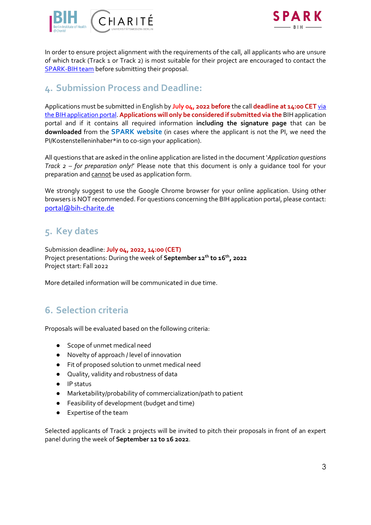



In order to ensure project alignment with the requirements of the call, all applicants who are unsure of which track (Track 1 or Track 2) is most suitable for their project are encouraged to contact the [SPARK-BIH](mailto:spark@charite.de) team before submitting their proposal.

### **4. Submission Process and Deadline:**

Applications must be submitted in English by **July 04, 2022 before** the call **deadline at 14:00 CET** [via](https://portal.bihealth.de/portal/)  [the BIH application portal.](https://portal.bihealth.de/portal/) **Applications will only be considered if submitted via the** [BIH application](https://portal.bihealth.de/portal/SitePages/Portal-Start-New-Application.aspx)  portal and if it contains all required information **including the signature page** that can be **downloaded** from the **SPARK [website](https://www.spark-bih.de/program/application)** (in cases where the applicant is not the PI, we need the PI/Kostenstelleninhaber\*in to co-sign your application).

All questions that are asked in the online application are listed in the document '*Application questions Track 2 – for preparation only!*' Please note that this document is only a guidance tool for your preparation and cannot be used as application form.

We strongly suggest to use the Google Chrome browser for your online application. Using other browsers is NOT recommended. For questions concerning the BIH application portal, please contact: [portal@bih-charite.de](mailto:portal@bih-charite.de)

# **5. Key dates**

Submission deadline: **July 04, 2022, 14:00 (CET)** Project presentations: During the week of **September 12 th to 16th, 2022** Project start: Fall 2022

More detailed information will be communicated in due time.

# **6. Selection criteria**

Proposals will be evaluated based on the following criteria:

- Scope of unmet medical need
- Novelty of approach / level of innovation
- Fit of proposed solution to unmet medical need
- Quality, validity and robustness of data
- IP status
- Marketability/probability of commercialization/path to patient
- Feasibility of development (budget and time)
- Expertise of the team

Selected applicants of Track 2 projects will be invited to pitch their proposals in front of an expert panel during the week of **September 12 to 16 2022**.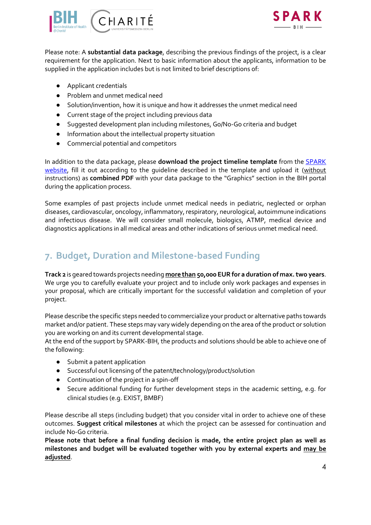



Please note: A **substantial data package**, describing the previous findings of the project, is a clear requirement for the application. Next to basic information about the applicants, information to be supplied in the application includes but is not limited to brief descriptions of:

- Applicant credentials
- Problem and unmet medical need
- Solution/invention, how it is unique and how it addresses the unmet medical need
- Current stage of the project including previous data
- Suggested development plan including milestones, Go/No-Go criteria and budget
- Information about the intellectual property situation
- Commercial potential and competitors

In addition to the data package, please **download the project timeline template** from the [SPARK](https://www.spark-bih.de/program/application)  [website,](https://www.spark-bih.de/program/application) fill it out according to the guideline described in the template and upload it (without instructions) as **combined PDF** with your data package to the "Graphics" section in the BIH portal during the application process.

Some examples of past projects include unmet medical needs in pediatric, neglected or orphan diseases, cardiovascular, oncology, inflammatory, respiratory, neurological, autoimmune indications and infectious disease. We will consider small molecule, biologics, ATMP, medical device and diagnostics applications in all medical areas and other indications of serious unmet medical need.

# **7. Budget, Duration and Milestone-based Funding**

**Track 2** is geared towards projects needing **more than 50,000 EUR for a duration of max.two years**. We urge you to carefully evaluate your project and to include only work packages and expenses in your proposal, which are critically important for the successful validation and completion of your project.

Please describe the specific steps needed to commercialize your product or alternative paths towards market and/or patient. These steps may vary widely depending on the area of the product or solution you are working on and its current developmental stage.

At the end of the support by SPARK-BIH, the products and solutions should be able to achieve one of the following:

- Submit a patent application
- Successful out licensing of the patent/technology/product/solution
- Continuation of the project in a spin-off
- Secure additional funding for further development steps in the academic setting, e.g. for clinical studies (e.g. EXIST, BMBF)

Please describe all steps (including budget) that you consider vital in order to achieve one of these outcomes. **Suggest critical milestones** at which the project can be assessed for continuation and include No-Go criteria.

**Please note that before a final funding decision is made, the entire project plan as well as milestones and budget will be evaluated together with you by external experts and may be adjusted**.